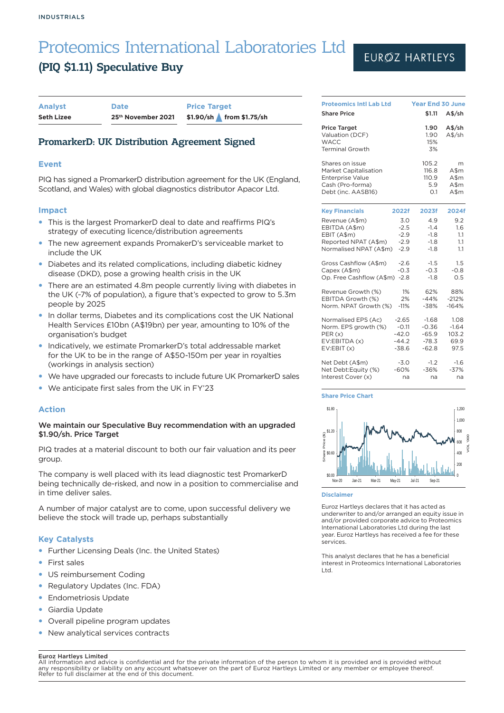## (PIQ \$1.11) Speculative Buy

| <b>Analyst</b>    | <b>Date</b>        | <b>Price Target</b> |                          |
|-------------------|--------------------|---------------------|--------------------------|
| <b>Seth Lizee</b> | 25th November 2021 |                     | \$1.90/sh from \$1.75/sh |

## PromarkerD: UK Distribution Agreement Signed

### **Event**

PIQ has signed a PromarkerD distribution agreement for the UK (England, Scotland, and Wales) with global diagnostics distributor Apacor Ltd.

### **Impact**

- This is the largest PromarkerD deal to date and reaffirms PIQ's strategy of executing licence/distribution agreements
- The new agreement expands PromakerD's serviceable market to include the UK
- Diabetes and its related complications, including diabetic kidney disease (DKD), pose a growing health crisis in the UK
- There are an estimated 4.8m people currently living with diabetes in the UK (~7% of population), a figure that's expected to grow to 5.3m people by 2025
- In dollar terms, Diabetes and its complications cost the UK National Health Services £10bn (A\$19bn) per year, amounting to 10% of the organisation's budget
- Indicatively, we estimate PromarkerD's total addressable market for the UK to be in the range of A\$50-150m per year in royalties (workings in analysis section)
- We have upgraded our forecasts to include future UK PromarkerD sales
- We anticipate first sales from the UK in FY'23

### **Action**

### We maintain our Speculative Buy recommendation with an upgraded \$1.90/sh. Price Target

PIQ trades at a material discount to both our fair valuation and its peer group.

The company is well placed with its lead diagnostic test PromarkerD being technically de-risked, and now in a position to commercialise and in time deliver sales.

A number of major catalyst are to come, upon successful delivery we believe the stock will trade up, perhaps substantially

### **Key Catalysts**

- Further Licensing Deals (Inc. the United States)
- **First sales**
- US reimbursement Coding
- Regulatory Updates (Inc. FDA)
- **Endometriosis Update**
- Giardia Update
- Overall pipeline program updates
- New analytical services contracts

#### Euroz Hartleys Limited

## EURØZ HARTLEYS

| <b>Proteomics Intl Lab Ltd</b>                                                                                                                  | <b>Year End 30 June</b>                             |                                          |
|-------------------------------------------------------------------------------------------------------------------------------------------------|-----------------------------------------------------|------------------------------------------|
| <b>Share Price</b>                                                                                                                              | \$1.11                                              | $A\frac{4}{5}$ /sh                       |
| <b>Price Target</b><br>Valuation (DCF)<br><b>WACC</b><br><b>Terminal Growth</b>                                                                 | 1.90<br>1.90<br>15%<br>3%                           | A\$/sh<br>A\$/sh                         |
| Shares on issue<br><b>Market Capitalisation</b><br><b>Enterprise Value</b><br>Cash (Pro-forma)<br>Debt (inc. AASB16)                            | 105.2<br>116.8<br>110.9<br>5.9<br>O.1               | m<br>A\$m<br>A\$m<br>$A$ \$m<br>A\$m     |
| <b>Key Financials</b><br>2022f                                                                                                                  | 2023f                                               | 2024f                                    |
| Revenue (A\$m)<br>3.0<br>$-2.5$<br>EBITDA (A\$m)<br>$-2.9$<br>EBIT (A\$m)<br>$-2.9$<br>Reported NPAT (A\$m)<br>Normalised NPAT (A\$m)<br>$-2.9$ | 4.9<br>$-1.4$<br>$-1.8$<br>$-1.8$<br>$-1.8$         | 9.2<br>1.6<br>1.1<br>1.1<br>1.1          |
| Gross Cashflow (A\$m)<br>$-2.6$<br>Capex (A\$m)<br>$-0.3$<br>Op. Free Cashflow (A\$m)<br>$-2.8$                                                 | $-1.5$<br>$-0.3$<br>$-1.8$                          | 1.5<br>$-0.8$<br>0.5                     |
| 1%<br>Revenue Growth (%)<br>2%<br>EBITDA Growth (%)<br>Norm. NPAT Growth (%)<br>$-11%$                                                          | 62%<br>$-44%$<br>$-38%$                             | 88%<br>$-212%$<br>$-164%$                |
| Normalised EPS (Ac)<br>$-2.65$<br>Norm. EPS growth (%)<br>$-0.11$<br>$-42.0$<br>PER(x)<br>EV:EBITDA (x)<br>$-44.2$<br>$-38.6$<br>EV:EBIT(x)     | $-1.68$<br>$-0.36$<br>$-65.9$<br>$-78.3$<br>$-62.8$ | 1.08<br>$-1.64$<br>103.2<br>69.9<br>97.5 |
| Net Debt (A\$m)<br>$-3.0$<br>Net Debt:Equity (%)<br>$-60%$<br>Interest Cover (x)<br>na                                                          | $-1.2$<br>$-36%$<br>na                              | $-1.6$<br>$-37%$<br>na                   |

#### **Share Price Chart**



#### **Disclaimer**

Euroz Hartleys declares that it has acted as underwriter to and/or arranged an equity issue in and/or provided corporate advice to Proteomics International Laboratories Ltd during the last year. Euroz Hartleys has received a fee for these services.

This analyst declares that he has a beneficial interest in Proteomics International Laboratories Ltd.

All information and advice is confidential and for the private information of the person to whom it is provided and is provided without any responsibility or liability on any account whatsoever on the part of Euroz Hartleys Limited or any member or employee thereof. Refer to full disclaimer at the end of this document.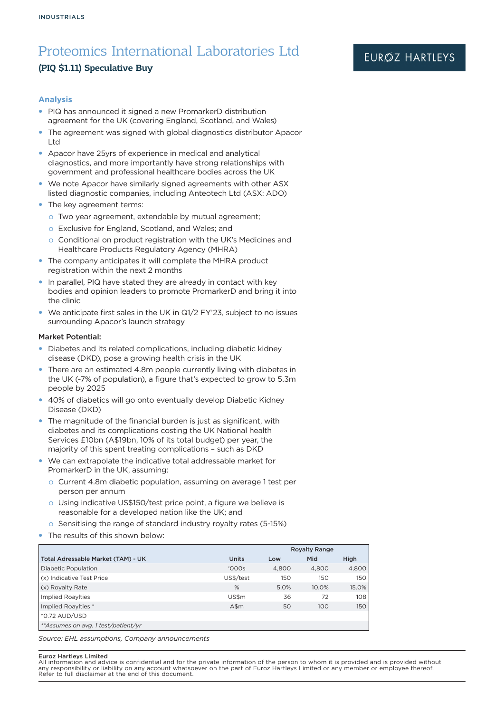## (PIQ \$1.11) Speculative Buy

## EURØZ HARTLEYS

### **Analysis**

- PIQ has announced it signed a new PromarkerD distribution agreement for the UK (covering England, Scotland, and Wales)
- The agreement was signed with global diagnostics distributor Apacor Ltd
- Apacor have 25yrs of experience in medical and analytical diagnostics, and more importantly have strong relationships with government and professional healthcare bodies across the UK
- We note Apacor have similarly signed agreements with other ASX listed diagnostic companies, including Anteotech Ltd (ASX: ADO)
- The key agreement terms:
	- o Two year agreement, extendable by mutual agreement;
	- o Exclusive for England, Scotland, and Wales; and
	- o Conditional on product registration with the UK's Medicines and Healthcare Products Regulatory Agency (MHRA)
- The company anticipates it will complete the MHRA product registration within the next 2 months
- In parallel, PIQ have stated they are already in contact with key bodies and opinion leaders to promote PromarkerD and bring it into the clinic
- We anticipate first sales in the UK in Q1/2 FY'23, subject to no issues surrounding Apacor's launch strategy

#### Market Potential:

- Diabetes and its related complications, including diabetic kidney disease (DKD), pose a growing health crisis in the UK
- There are an estimated 4.8m people currently living with diabetes in the UK (~7% of population), a figure that's expected to grow to 5.3m people by 2025
- 40% of diabetics will go onto eventually develop Diabetic Kidney Disease (DKD)
- The magnitude of the financial burden is just as significant, with diabetes and its complications costing the UK National health Services £10bn (A\$19bn, 10% of its total budget) per year, the majority of this spent treating complications – such as DKD
- We can extrapolate the indicative total addressable market for PromarkerD in the UK, assuming:
	- o Current 4.8m diabetic population, assuming on average 1 test per person per annum
	- o Using indicative US\$150/test price point, a figure we believe is reasonable for a developed nation like the UK; and
	- o Sensitising the range of standard industry royalty rates (5-15%)
- The results of this shown below:

|                                      |              | <b>Royalty Range</b> |       |       |  |
|--------------------------------------|--------------|----------------------|-------|-------|--|
| Total Adressable Market (TAM) - UK   | <b>Units</b> | Low                  | Mid   | High  |  |
| <b>Diabetic Population</b>           | '000s        | 4.800                | 4.800 | 4,800 |  |
| (x) Indicative Test Price            | US\$/test    | 150                  | 150   | 150   |  |
| (x) Royalty Rate                     | $\%$         | 5.0%                 | 10.0% | 15.0% |  |
| <b>Implied RoayIties</b>             | US\$m        | 36                   | 72    | 108   |  |
| Implied Roaylties *                  | $A$ \$m      | 50                   | 100   | 150   |  |
| *0.72 AUD/USD                        |              |                      |       |       |  |
| ** Assumes on avg. 1 test/patient/vr |              |                      |       |       |  |

*Source: EHL assumptions, Company announcements*

#### Euroz Hartleys Limited

All information and advice is confidential and for the private information of the person to whom it is provided and is provided without any responsibility or liability on any account whatsoever on the part of Euroz Hartleys Limited or any member or employee thereof. Refer to full disclaimer at the end of this document.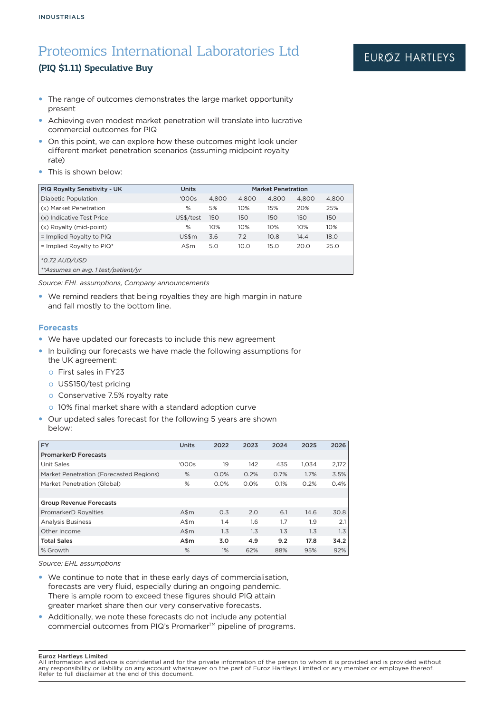## (PIQ \$1.11) Speculative Buy

- The range of outcomes demonstrates the large market opportunity present
- Achieving even modest market penetration will translate into lucrative commercial outcomes for PIQ
- On this point, we can explore how these outcomes might look under different market penetration scenarios (assuming midpoint royalty rate)
- This is shown below:

| <b>PIQ Royalty Sensitivity - UK</b> | <b>Units</b> | <b>Market Penetration</b> |       |       |       |       |
|-------------------------------------|--------------|---------------------------|-------|-------|-------|-------|
| <b>Diabetic Population</b>          | '000s        | 4.800                     | 4.800 | 4.800 | 4.800 | 4,800 |
| (x) Market Penetration              | %            | 5%                        | 10%   | 15%   | 20%   | 25%   |
| (x) Indicative Test Price           | US\$/test    | 150                       | 150   | 150   | 150   | 150   |
| (x) Royalty (mid-point)             | %            | 10%                       | 10%   | 10%   | 10%   | 10%   |
| $=$ Implied Royalty to PIQ          | US\$m        | 3.6                       | 7.2   | 10.8  | 14.4  | 18.0  |
| $=$ Implied Royalty to PIQ*         | A\$m         | 5.0                       | 10.0  | 15.0  | 20.0  | 25.0  |
| *0.72 AUD/USD                       |              |                           |       |       |       |       |
| **Assumes on avg. 1 test/patient/yr |              |                           |       |       |       |       |

*Source: EHL assumptions, Company announcements*

• We remind readers that being royalties they are high margin in nature and fall mostly to the bottom line.

#### **Forecasts**

- We have updated our forecasts to include this new agreement
- In building our forecasts we have made the following assumptions for the UK agreement:
	- o First sales in FY23
	- o US\$150/test pricing
	- o Conservative 7.5% royalty rate
	- o 10% final market share with a standard adoption curve
- Our updated sales forecast for the following 5 years are shown below:

| <b>FY</b>                               | <b>Units</b> | 2022 | 2023 | 2024 | 2025  | 2026  |
|-----------------------------------------|--------------|------|------|------|-------|-------|
| <b>PromarkerD Forecasts</b>             |              |      |      |      |       |       |
| Unit Sales                              | '000s        | 19   | 142  | 435  | 1.034 | 2,172 |
| Market Penetration (Forecasted Regions) | %            | 0.0% | 0.2% | 0.7% | 1.7%  | 3.5%  |
| Market Penetration (Global)             | %            | 0.0% | 0.0% | 0.1% | 0.2%  | 0.4%  |
|                                         |              |      |      |      |       |       |
| <b>Group Revenue Forecasts</b>          |              |      |      |      |       |       |
| PromarkerD Royalties                    | $A\$ {Sm}    | O.3  | 2.0  | 6.1  | 14.6  | 30.8  |
| <b>Analysis Business</b>                | $A\$ m       | 1.4  | 1.6  | 1.7  | 1.9   | 2.1   |
| Other Income                            | $A\$ {Sm}    | 1.3  | 1.3  | 1.3  | 1.3   | 1.3   |
| <b>Total Sales</b>                      | A\$m         | 3.0  | 4.9  | 9.2  | 17.8  | 34.2  |
| % Growth                                | %            | 1%   | 62%  | 88%  | 95%   | 92%   |

*Source: EHL assumptions*

- We continue to note that in these early days of commercialisation, forecasts are very fluid, especially during an ongoing pandemic. There is ample room to exceed these figures should PIQ attain greater market share then our very conservative forecasts.
- Additionally, we note these forecasts do not include any potential commercial outcomes from PIQ's Promarker™ pipeline of programs.

#### Euroz Hartleys Limited

All information and advice is confidential and for the private information of the person to whom it is provided and is provided without any responsibility or liability on any account whatsoever on the part of Euroz Hartleys Limited or any member or employee thereof. Refer to full disclaimer at the end of this document.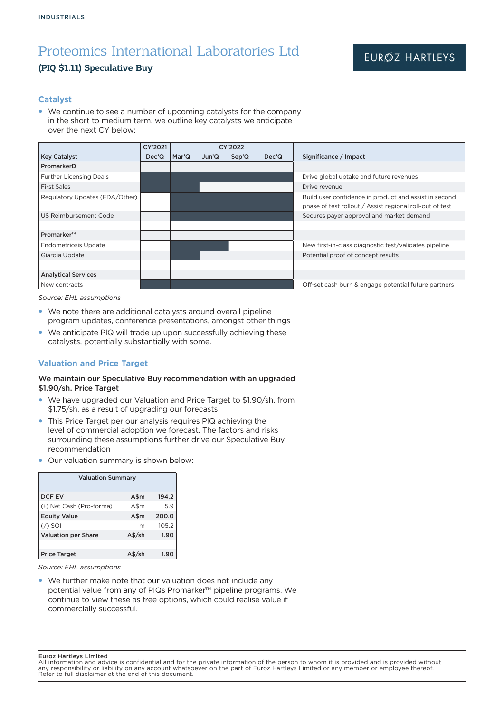## (PIQ \$1.11) Speculative Buy

### **Catalyst**

• We continue to see a number of upcoming catalysts for the company in the short to medium term, we outline key catalysts we anticipate over the next CY below:

|                                | CY'2021            | CY'2022 |       |       |                    |                                                          |
|--------------------------------|--------------------|---------|-------|-------|--------------------|----------------------------------------------------------|
| <b>Key Catalyst</b>            | Dec <sup>'</sup> Q | Mar'Q   | Jun'Q | Sep'Q | Dec <sup>'</sup> Q | Significance / Impact                                    |
| PromarkerD                     |                    |         |       |       |                    |                                                          |
| <b>Further Licensing Deals</b> |                    |         |       |       |                    | Drive global uptake and future revenues                  |
| <b>First Sales</b>             |                    |         |       |       |                    | Drive revenue                                            |
| Regulatory Updates (FDA/Other) |                    |         |       |       |                    | Build user confidence in product and assist in second    |
|                                |                    |         |       |       |                    | phase of test rollout / Assist regional roll-out of test |
| US Reimbursement Code          |                    |         |       |       |                    | Secures payer approval and market demand                 |
|                                |                    |         |       |       |                    |                                                          |
| Promarker™                     |                    |         |       |       |                    |                                                          |
| <b>Endometriosis Update</b>    |                    |         |       |       |                    | New first-in-class diagnostic test/validates pipeline    |
| Giardia Update                 |                    |         |       |       |                    | Potential proof of concept results                       |
|                                |                    |         |       |       |                    |                                                          |
| <b>Analytical Services</b>     |                    |         |       |       |                    |                                                          |
| New contracts                  |                    |         |       |       |                    | Off-set cash burn & engage potential future partners     |

*Source: EHL assumptions*

- We note there are additional catalysts around overall pipeline program updates, conference presentations, amongst other things
- We anticipate PIQ will trade up upon successfully achieving these catalysts, potentially substantially with some.

## **Valuation and Price Target**

### We maintain our Speculative Buy recommendation with an upgraded \$1.90/sh. Price Target

- We have upgraded our Valuation and Price Target to \$1.90/sh. from \$1.75/sh. as a result of upgrading our forecasts
- This Price Target per our analysis requires PIQ achieving the level of commercial adoption we forecast. The factors and risks surrounding these assumptions further drive our Speculative Buy recommendation
- Our valuation summary is shown below:

| <b>Valuation Summary</b>   |                    |       |  |  |  |
|----------------------------|--------------------|-------|--|--|--|
| <b>DCF EV</b>              | A\$m               | 194.2 |  |  |  |
| (+) Net Cash (Pro-forma)   | A\$m               | 5.9   |  |  |  |
| <b>Equity Value</b>        | A\$m               | 200.0 |  |  |  |
| $($ / $)$ SOI              | m                  | 105.2 |  |  |  |
| <b>Valuation per Share</b> | $A\frac{4}{5}$ /sh | 1.90  |  |  |  |
|                            |                    |       |  |  |  |
| <b>Price Target</b>        |                    | 1.90  |  |  |  |

*Source: EHL assumptions*

• We further make note that our valuation does not include any potential value from any of PIQs Promarker<sup>™</sup> pipeline programs. We continue to view these as free options, which could realise value if commercially successful.

Euroz Hartleys Limited

All information and advice is confidential and for the private information of the person to whom it is provided and is provided without<br>any responsibility or liability on any account whatsoever on the part of Euroz Hartley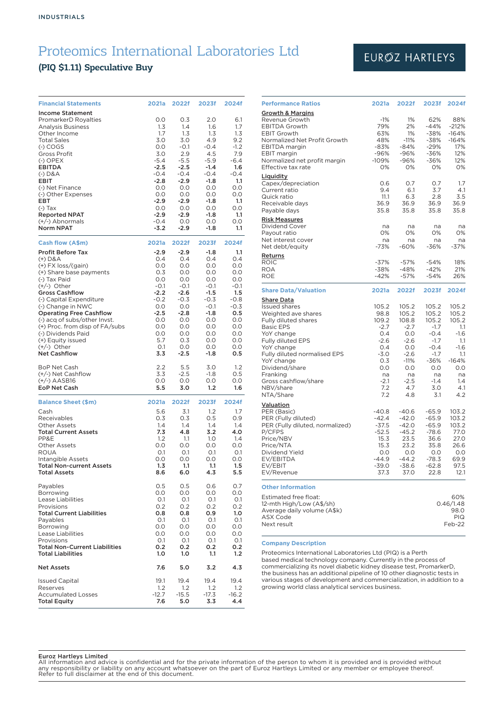## (PIQ \$1.11) Speculative Buy

| <b>Financial Statements</b>                                                 | 2021a             | 2022f                | 2023f                | 2024f                |
|-----------------------------------------------------------------------------|-------------------|----------------------|----------------------|----------------------|
| <b>Income Statement</b><br>PromarkerD Royalties<br><b>Analysis Business</b> | O.O<br>1.3        | 0.3<br>1.4           | 2.0<br>1.6           | 6.1<br>1.7           |
| Other Income<br><b>Total Sales</b><br>$(-)$ COGS                            | 1.7<br>3.0<br>O.O | 1.3<br>3.0<br>$-0.1$ | 1.3<br>4.9<br>$-0.4$ | 1.3<br>9.2<br>$-1.2$ |
| Gross Profit<br>$(-)$ OPEX                                                  | 3.0<br>$-5.4$     | 2.9<br>$-5.5$        | 4.5<br>$-5.9$        | 7.9<br>$-6.4$        |
| EBITDA<br>$(-)$ D&A                                                         | $-2.5$<br>$-0.4$  | $-2.5$<br>$-0.4$     | $-1.4$<br>$-0.4$     | 1.6<br>$-0.4$        |
| <b>EBIT</b>                                                                 | $-2.8$            | $-2.9$               | $-1.8$               | 1.1                  |
| (-) Net Finance<br>(-) Other Expenses                                       | O.O<br>0.0        | 0.0<br>0.0           | 0.0<br>0.0           | O.O<br>0.0           |
| EBT<br>$(-)$ Tax                                                            | $-2.9$<br>0.0     | $-2.9$<br>O.O        | $-1.8$<br>0.0        | 1.1<br>0.0           |
| <b>Reported NPAT</b><br>(+/-) Abnormals                                     | $-2.9$<br>$-0.4$  | $-2.9$<br>O.O        | $-1.8$<br>0.0        | 1.1<br>O.O           |
| <b>Norm NPAT</b>                                                            | $-3.2$            | $-2.9$               | $-1.8$               | 1.1                  |
| Cash flow (A\$m)                                                            | 2021a             | 2022f                | 2023f                | 2024f                |
| <b>Profit Before Tax</b><br>$(+)$ D&A                                       | $-2.9$<br>O.4     | $-2.9$<br>0.4        | $-1.8$<br>O.4        | 1.1<br>0.4           |
| $(+)$ FX loss/(gain)<br>(+) Share base payments                             | 0.0<br>0.3        | O.O<br>0.0           | O.O<br>O.O           | O.O<br>O.O           |
| (-) Tax Paid                                                                | 0.0               | O.O                  | 0.0                  | 0.0                  |
| $(+/-)$ Other<br><b>Gross Cashflow</b>                                      | $-0.1$<br>$-2.2$  | $-0.1$<br>$-2.6$     | $-0.1$<br>$-1.5$     | $-0.1$<br>1.5        |
| (-) Capital Expenditure                                                     | $-0.2$            | $-0.3$               | $-0.3$<br>$-0.1$     | $-0.8$<br>$-0.3$     |
| (-) Change in NWC<br><b>Operating Free Cashflow</b>                         | 0.0<br>$-2.5$     | 0.0<br>$-2.8$        | $-1.8$               | 0.5                  |
| (-) acq of subs/other Invst.<br>(+) Proc. from disp of FA/subs              | 0.0<br>O.O        | O.O<br>O.O           | O.O<br>O.O           | 0.0<br>O.O           |
| (-) Dividends Paid                                                          | 0.0               | 0.0                  | O.O                  | 0.0                  |
| (+) Equity issued<br>$(+/-)$ Other                                          | 5.7<br>O.1        | 0.3<br>O.O           | O.O<br>O.O           | O.O<br>O.O           |
| <b>Net Cashflow</b>                                                         | 3.3               | $-2.5$               | $-1.8$               | 0.5                  |
| <b>BoP Net Cash</b>                                                         | 2.2<br>3.3        | 5.5<br>$-2.5$        | 3.0<br>$-1.8$        | 1.2                  |
| (+/-) Net Cashflow<br>$(+/-)$ AASB16                                        | 0.0               | 0.0                  | 0.0                  | 0.5<br>O.O           |
| <b>EoP Net Cash</b>                                                         | 5.5               | 3.0                  | 1.2                  | 1.6                  |
| <b>Balance Sheet (\$m)</b>                                                  | 2021a             | 2022f                | 2023f                | 2024f                |
| Cash<br>Receivables                                                         | 5.6<br>0.3        | 3.1<br>0.3           | 1.2<br>0.5           | 1.7<br>0.9           |
| <b>Other Assets</b><br><b>Total Current Assets</b>                          | 1.4<br>7.3        | 1.4<br>4.8           | 1.4<br>3.2           | 1.4<br>4.0           |
| PP&E                                                                        | 1.2               | 1.1                  | 1.0                  | 1.4                  |
| <b>Other Assets</b><br><b>ROUA</b>                                          | 0.0<br>0.1        | 0.0<br>O.1           | 0.0<br>O.1           | 0.0<br>O.1           |
| Intangible Assets                                                           | O.O               | O.O                  | O.O                  | O.O                  |
| <b>Total Non-current Assets</b><br><b>Total Assets</b>                      | 1.3<br>8.6        | 1.1<br>6.0           | 1.1<br>4.3           | 1.5<br>5.5           |
| Payables                                                                    | 0.5               | 0.5                  | 0.6                  | 0.7                  |
| Borrowing<br><b>Lease Liabilities</b>                                       | 0.0<br>O.1        | 0.0<br>O.1           | 0.0<br>O.1           | 0.0<br>O.1           |
| Provisions                                                                  | 0.2               | 0.2                  | 0.2                  | O.2                  |
| <b>Total Current Liabilities</b><br>Payables                                | 0.8<br>O.1        | 0.8<br>O.1           | 0.9<br>O.1           | 1.0<br>O.1           |
| Borrowing<br>Lease Liabilities                                              | 0.0<br>O.O        | 0.0<br>O.O           | 0.0<br>O.O           | 0.0<br>O.O           |
| Provisions                                                                  | O.1               | 0.1                  | O.1                  | O.1                  |
| <b>Total Non-Current Liabilities</b><br><b>Total Liabilities</b>            | 0.2<br>1.0        | 0.2<br>1.0           | 0.2<br>1.1           | 0.2<br>1.2           |
| <b>Net Assets</b>                                                           | 7.6               | 5.0                  | 3.2                  | 4.3                  |
| <b>Issued Capital</b><br>Reserves                                           | 19.1<br>1.2       | 19.4<br>1.2          | 19.4<br>1.2          | 19.4<br>1.2          |
| <b>Accumulated Losses</b>                                                   | $-12.7$           | $-15.5$              | $-17.3$              | $-16.2$              |
| <b>Total Equity</b>                                                         | 7.6               | 5.0                  | 3.3                  | 4.4                  |

## EURØZ HARTLEYS

| <b>Performance Ratios</b>                                                                                                                                                                                                                                                                          | 2021a                                                                                                        | 2022f                                                                                                              | 2023f                                                                                                                    | 2024f                                                                                                           |
|----------------------------------------------------------------------------------------------------------------------------------------------------------------------------------------------------------------------------------------------------------------------------------------------------|--------------------------------------------------------------------------------------------------------------|--------------------------------------------------------------------------------------------------------------------|--------------------------------------------------------------------------------------------------------------------------|-----------------------------------------------------------------------------------------------------------------|
| <b>Growth &amp; Margins</b><br>Revenue Growth<br><b>EBITDA Growth</b><br><b>EBIT Growth</b><br>Normalized Net Profit Growth<br><b>EBITDA</b> margin<br>EBIT margin<br>Normalized net profit margin<br>Effective tax rate                                                                           | $-1%$<br>79%<br>63%<br>48%<br>$-83%$<br>-96%<br>$-109%$<br>0%                                                | 1%<br>2%<br>1%<br>$-11%$<br>$-84%$<br>-96%<br>$-96%$<br>0%                                                         | 62%<br>$-44%$<br>-38%<br>-38%<br>$-29%$<br>-36%<br>-36%<br>0%                                                            | 88%<br>$-212%$<br>$-164%$<br>$-164%$<br>17%<br>12%<br>12%<br>0%                                                 |
| Liquidity<br>Capex/depreciation<br>Current ratio<br>Quick ratio<br>Receivable days<br>Payable days                                                                                                                                                                                                 | 0.6<br>9.4<br>11.1<br>36.9<br>35.8                                                                           | 0.7<br>6.1<br>6.3<br>36.9<br>35.8                                                                                  | 0.7<br>3.7<br>2.8<br>36.9<br>35.8                                                                                        | 1.7<br>4.1<br>3.5<br>36.9<br>35.8                                                                               |
| <b>Risk Measures</b><br>Dividend Cover<br>Payout ratio<br>Net interest cover<br>Net debt/equity                                                                                                                                                                                                    | na<br>0%<br>na<br>$-73%$                                                                                     | na<br>0%<br>na<br>$-60%$                                                                                           | na<br>0%<br>na<br>$-36%$                                                                                                 | na<br>0%<br>na<br>$-37%$                                                                                        |
| Returns<br>ROIC<br>ROA<br><b>ROE</b>                                                                                                                                                                                                                                                               | $-37%$<br>$-38%$<br>$-42%$                                                                                   | $-57%$<br>-48%<br>$-57%$                                                                                           | $-54%$<br>$-42%$<br>$-54%$                                                                                               | 18%<br>21%<br>26%                                                                                               |
| <b>Share Data/Valuation</b>                                                                                                                                                                                                                                                                        | 2021a                                                                                                        | 2022f                                                                                                              | 2023f                                                                                                                    | 2024f                                                                                                           |
| <b>Share Data</b><br><b>Issued shares</b><br>Weighted ave shares<br>Fully diluted shares<br><b>Basic EPS</b><br>YoY change<br><b>Fully diluted EPS</b><br>YoY change<br>Fully diluted normalised EPS<br>YoY change<br>Dividend/share<br>Franking<br>Gross cashflow/share<br>NBV/share<br>NTA/Share | 105.2<br>98.8<br>109.2<br>$-2.7$<br>0.4<br>$-2.6$<br>0.4<br>$-3.0$<br>0.3<br>0.0<br>na<br>-2.1<br>7.2<br>7.2 | 105.2<br>105.2<br>108.8<br>$-2.7$<br>O.O<br>$-2.6$<br>0.0<br>$-2.6$<br>$-11%$<br>0.0<br>na<br>$-2.5$<br>4.7<br>4.8 | 105.2<br>105.2<br>105.2<br>$-1.7$<br>$-0.4$<br>$-1.7$<br>$-0.4$<br>$-1.7$<br>$-36%$<br>0.0<br>na<br>$-1.4$<br>3.0<br>3.1 | 105.2<br>105.2<br>105.2<br>1.1<br>$-1.6$<br>1.1<br>-1.6<br>1.1<br>$-164%$<br>0.0<br>na<br>$1.4\,$<br>4.1<br>4.2 |
| Valuation<br>PER (Basic)<br>PER (Fully diluted)<br>PER (Fully diluted, normalized)<br>P/CFPS<br>Price/NBV<br>Price/NTA<br>Dividend Yield<br>EV/EBITDA<br>EV/EBIT<br>EV/Revenue                                                                                                                     | $-40.8$<br>$-42.4$<br>$-37.5$<br>$-52.5$<br>15.3<br>15.3<br>0.0<br>$-44.9$<br>$-39.0$<br>37.3                | $-40.6$<br>$-42.0$<br>$-42.0$<br>$-45.2$<br>23.5<br>23.2<br>0.0<br>$-44.2$<br>$-38.6$<br>37.0                      | $-65.9$<br>$-65.9$<br>$-65.9$<br>$-78.6$<br>36.6<br>35.8<br>O.O<br>$-78.3$<br>$-62.8$<br>22.8                            | 103.2<br>103.2<br>103.2<br>77.0<br>27.0<br>26.6<br>0.0<br>69.9<br>97.5<br>12.1                                  |
| <b>Other Information</b><br>Estimated free float:<br>12-mth High/Low (A\$/sh)<br>Average daily volume (A\$k)<br><b>ASX Code</b><br>Next result                                                                                                                                                     |                                                                                                              |                                                                                                                    |                                                                                                                          | 60%<br>0.46/1.48<br>98.0<br><b>PIQ</b><br>Feb-22                                                                |
|                                                                                                                                                                                                                                                                                                    |                                                                                                              |                                                                                                                    |                                                                                                                          |                                                                                                                 |

#### **Company Description**

Proteomics International Laboratories Ltd (PIQ) is a Perth based medical technology company. Currently in the process of commercializing its novel diabetic kidney disease test, PromarkerD, the business has an additional pipeline of 10 other diagnostic tests in various stages of development and commercialization, in addition to a growing world class analytical services business.

#### Euroz Hartleys Limited

All information and advice is confidential and for the private information of the person to whom it is provided and is provided without<br>any responsibility or liability on any account whatsoever on the part of Euroz Hartley